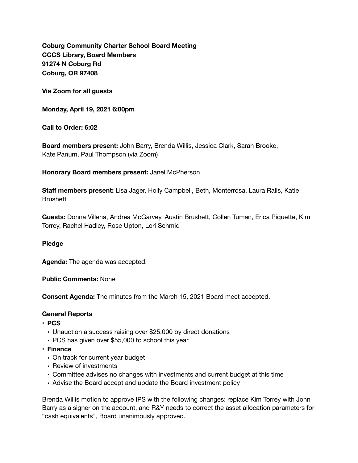**Coburg Community Charter School Board Meeting CCCS Library, Board Members 91274 N Coburg Rd Coburg, OR 97408** 

**Via Zoom for all guests** 

**Monday, April 19, 2021 6:00pm** 

**Call to Order: 6:02** 

**Board members present:** John Barry, Brenda Willis, Jessica Clark, Sarah Brooke, Kate Panum, Paul Thompson (via Zoom)

**Honorary Board members present:** Janel McPherson

**Staff members present:** Lisa Jager, Holly Campbell, Beth, Monterrosa, Laura Ralls, Katie Brushett

**Guests:** Donna Villena, Andrea McGarvey, Austin Brushett, Collen Tuman, Erica Piquette, Kim Torrey, Rachel Hadley, Rose Upton, Lori Schmid

#### **Pledge**

**Agenda:** The agenda was accepted.

**Public Comments:** None

**Consent Agenda:** The minutes from the March 15, 2021 Board meet accepted.

#### **General Reports**

- **• PCS** 
	- Unauction a success raising over \$25,000 by direct donations
	- PCS has given over \$55,000 to school this year
- **• Finance** 
	- On track for current year budget
	- Review of investments
	- Committee advises no changes with investments and current budget at this time
	- Advise the Board accept and update the Board investment policy

Brenda Willis motion to approve IPS with the following changes: replace Kim Torrey with John Barry as a signer on the account, and R&Y needs to correct the asset allocation parameters for "cash equivalents", Board unanimously approved.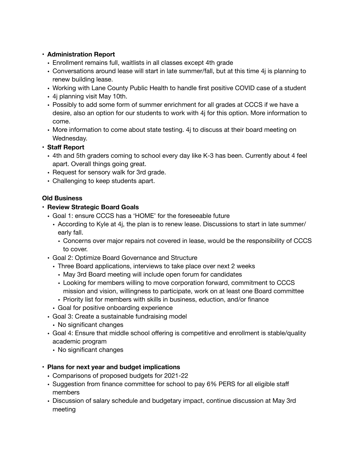## **• Administration Report**

- Enrollment remains full, waitlists in all classes except 4th grade
- Conversations around lease will start in late summer/fall, but at this time 4j is planning to renew building lease.
- Working with Lane County Public Health to handle first positive COVID case of a student
- 4j planning visit May 10th.
- Possibly to add some form of summer enrichment for all grades at CCCS if we have a desire, also an option for our students to work with 4j for this option. More information to come.
- More information to come about state testing. 4j to discuss at their board meeting on Wednesday.

# **• Staff Report**

- 4th and 5th graders coming to school every day like K-3 has been. Currently about 4 feel apart. Overall things going great.
- Request for sensory walk for 3rd grade.
- Challenging to keep students apart.

## **Old Business**

### **• Review Strategic Board Goals**

- Goal 1: ensure CCCS has a 'HOME' for the foreseeable future
	- According to Kyle at 4j, the plan is to renew lease. Discussions to start in late summer/ early fall.
		- Concerns over major repairs not covered in lease, would be the responsibility of CCCS to cover.
- Goal 2: Optimize Board Governance and Structure
	- Three Board applications, interviews to take place over next 2 weeks
		- May 3rd Board meeting will include open forum for candidates
		- Looking for members willing to move corporation forward, commitment to CCCS mission and vision, willingness to participate, work on at least one Board committee
		- Priority list for members with skills in business, eduction, and/or finance
	- Goal for positive onboarding experience
- Goal 3: Create a sustainable fundraising model
- No significant changes
- Goal 4: Ensure that middle school offering is competitive and enrollment is stable/quality academic program
	- No significant changes

### **• Plans for next year and budget implications**

- Comparisons of proposed budgets for 2021-22
- Suggestion from finance committee for school to pay 6% PERS for all eligible staff members
- Discussion of salary schedule and budgetary impact, continue discussion at May 3rd meeting